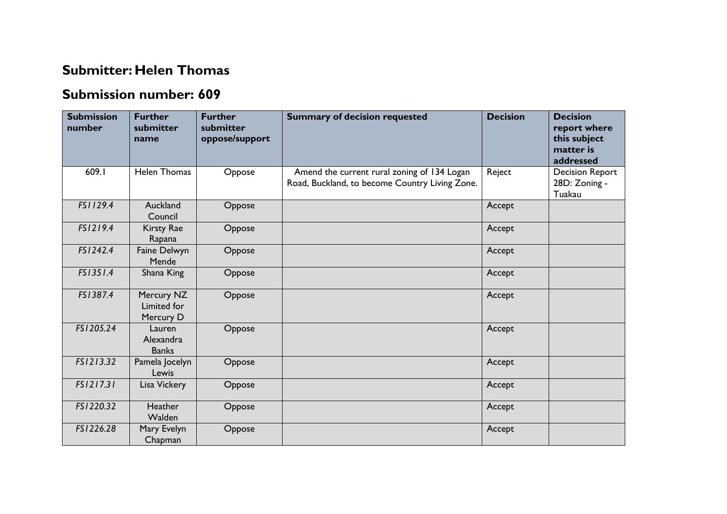## **Submitter: Helen Thomas**

## **Submission number: 609**

| <b>Submission</b><br>number | <b>Further</b><br>submitter<br>name    | <b>Further</b><br>submitter<br>oppose/support | <b>Summary of decision requested</b>                                                          | <b>Decision</b> | <b>Decision</b><br>report where<br>this subject<br>matter is<br>addressed |
|-----------------------------|----------------------------------------|-----------------------------------------------|-----------------------------------------------------------------------------------------------|-----------------|---------------------------------------------------------------------------|
| 609.I                       | <b>Helen Thomas</b>                    | Oppose                                        | Amend the current rural zoning of 134 Logan<br>Road, Buckland, to become Country Living Zone. | Reject          | <b>Decision Report</b><br>28D: Zoning -<br>Tuakau                         |
| FS1129.4                    | Auckland<br>Council                    | Oppose                                        |                                                                                               | Accept          |                                                                           |
| FS1219.4                    | <b>Kirsty Rae</b><br>Rapana            | Oppose                                        |                                                                                               | Accept          |                                                                           |
| FS1242.4                    | Faine Delwyn<br>Mende                  | Oppose                                        |                                                                                               | Accept          |                                                                           |
| FS1351.4                    | Shana King                             | Oppose                                        |                                                                                               | Accept          |                                                                           |
| FS1387.4                    | Mercury NZ<br>Limited for<br>Mercury D | Oppose                                        |                                                                                               | Accept          |                                                                           |
| FS1205.24                   | Lauren<br>Alexandra<br><b>Banks</b>    | Oppose                                        |                                                                                               | Accept          |                                                                           |
| FS1213.32                   | Pamela Jocelyn<br>Lewis                | Oppose                                        |                                                                                               | Accept          |                                                                           |
| FS1217.31                   | Lisa Vickery                           | Oppose                                        |                                                                                               | Accept          |                                                                           |
| FS1220.32                   | Heather<br>Walden                      | Oppose                                        |                                                                                               | Accept          |                                                                           |
| FS1226.28                   | Mary Evelyn<br>Chapman                 | Oppose                                        |                                                                                               | Accept          |                                                                           |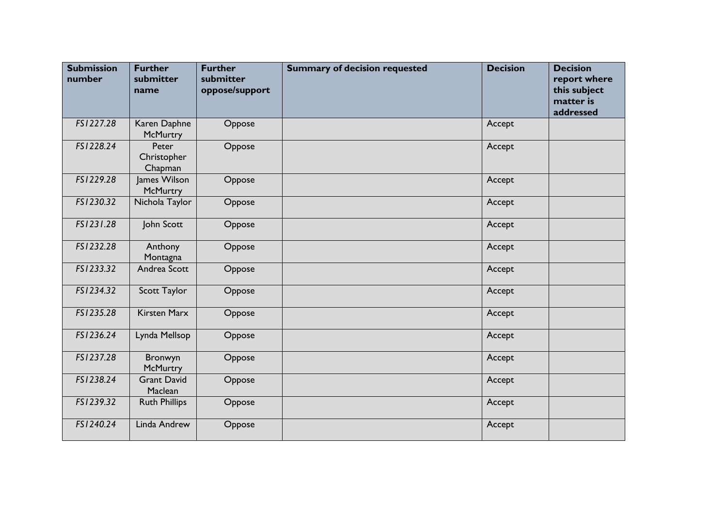| <b>Submission</b><br>number | <b>Further</b><br>submitter<br>name | <b>Further</b><br>submitter<br>oppose/support | <b>Summary of decision requested</b> | <b>Decision</b> | <b>Decision</b><br>report where<br>this subject<br>matter is<br>addressed |
|-----------------------------|-------------------------------------|-----------------------------------------------|--------------------------------------|-----------------|---------------------------------------------------------------------------|
| FS1227.28                   | Karen Daphne<br>McMurtry            | Oppose                                        |                                      | Accept          |                                                                           |
| FS1228.24                   | Peter<br>Christopher<br>Chapman     | Oppose                                        |                                      | Accept          |                                                                           |
| FS1229.28                   | James Wilson<br>McMurtry            | Oppose                                        |                                      | Accept          |                                                                           |
| FS1230.32                   | Nichola Taylor                      | Oppose                                        |                                      | Accept          |                                                                           |
| FS1231.28                   | John Scott                          | Oppose                                        |                                      | Accept          |                                                                           |
| FS1232.28                   | Anthony<br>Montagna                 | Oppose                                        |                                      | Accept          |                                                                           |
| FS1233.32                   | Andrea Scott                        | Oppose                                        |                                      | Accept          |                                                                           |
| FS1234.32                   | Scott Taylor                        | Oppose                                        |                                      | Accept          |                                                                           |
| FS1235.28                   | <b>Kirsten Marx</b>                 | Oppose                                        |                                      | Accept          |                                                                           |
| FS1236.24                   | Lynda Mellsop                       | Oppose                                        |                                      | Accept          |                                                                           |
| FS1237.28                   | Bronwyn<br><b>McMurtry</b>          | Oppose                                        |                                      | Accept          |                                                                           |
| FS1238.24                   | <b>Grant David</b><br>Maclean       | Oppose                                        |                                      | Accept          |                                                                           |
| FS1239.32                   | <b>Ruth Phillips</b>                | Oppose                                        |                                      | Accept          |                                                                           |
| FS1240.24                   | Linda Andrew                        | Oppose                                        |                                      | Accept          |                                                                           |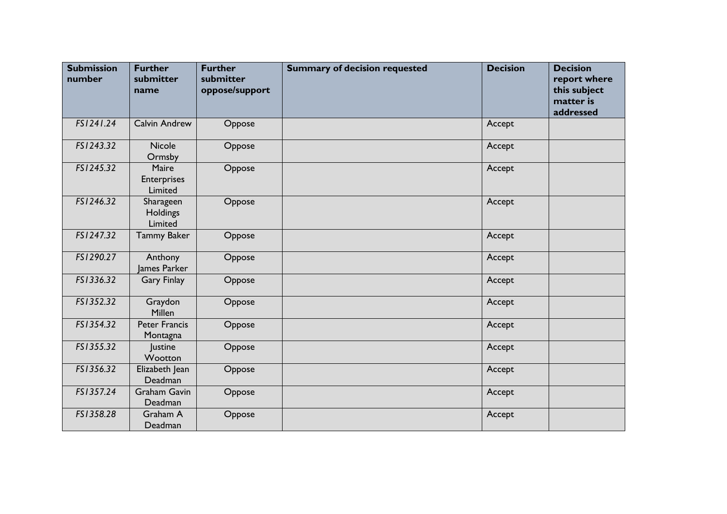| <b>Submission</b><br>number | <b>Further</b><br>submitter<br>name    | <b>Further</b><br>submitter<br>oppose/support | <b>Summary of decision requested</b> | <b>Decision</b> | <b>Decision</b><br>report where<br>this subject<br>matter is<br>addressed |
|-----------------------------|----------------------------------------|-----------------------------------------------|--------------------------------------|-----------------|---------------------------------------------------------------------------|
| FS1241.24                   | Calvin Andrew                          | Oppose                                        |                                      | Accept          |                                                                           |
| FS1243.32                   | Nicole<br>Ormsby                       | Oppose                                        |                                      | Accept          |                                                                           |
| FS1245.32                   | Maire<br><b>Enterprises</b><br>Limited | Oppose                                        |                                      | Accept          |                                                                           |
| FS1246.32                   | Sharageen<br>Holdings<br>Limited       | Oppose                                        |                                      | Accept          |                                                                           |
| FS1247.32                   | <b>Tammy Baker</b>                     | Oppose                                        |                                      | Accept          |                                                                           |
| FS1290.27                   | Anthony<br>James Parker                | Oppose                                        |                                      | Accept          |                                                                           |
| FS1336.32                   | <b>Gary Finlay</b>                     | Oppose                                        |                                      | Accept          |                                                                           |
| FS1352.32                   | Graydon<br>Millen                      | Oppose                                        |                                      | Accept          |                                                                           |
| FS1354.32                   | <b>Peter Francis</b><br>Montagna       | Oppose                                        |                                      | Accept          |                                                                           |
| FS1355.32                   | Justine<br>Wootton                     | Oppose                                        |                                      | Accept          |                                                                           |
| FS1356.32                   | Elizabeth Jean<br>Deadman              | Oppose                                        |                                      | Accept          |                                                                           |
| FS1357.24                   | <b>Graham Gavin</b><br>Deadman         | Oppose                                        |                                      | Accept          |                                                                           |
| FS1358.28                   | Graham A<br>Deadman                    | Oppose                                        |                                      | Accept          |                                                                           |